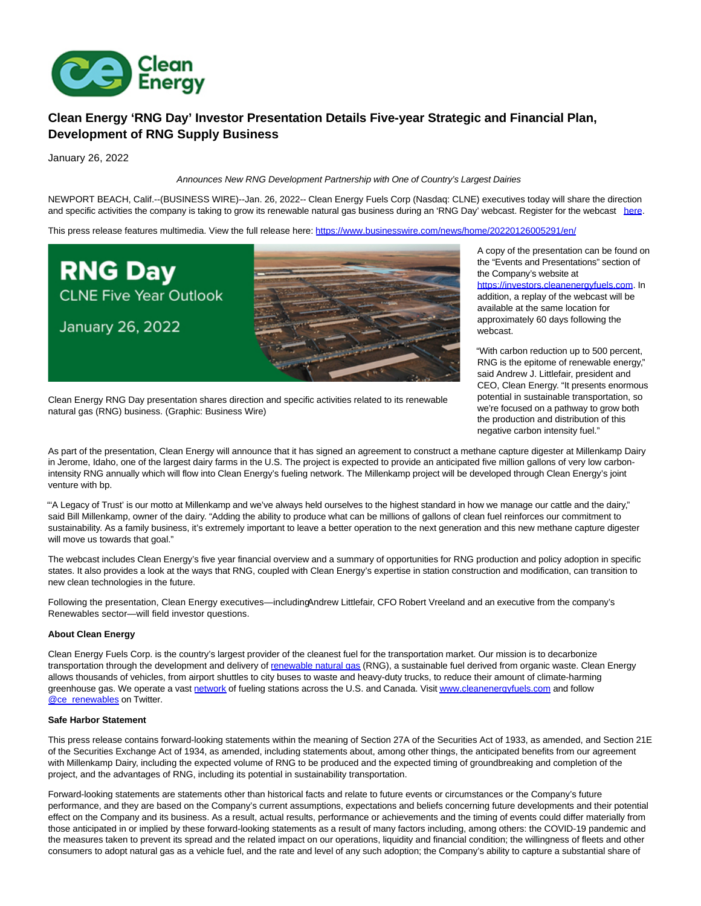

## **Clean Energy 'RNG Day' Investor Presentation Details Five-year Strategic and Financial Plan, Development of RNG Supply Business**

January 26, 2022

## Announces New RNG Development Partnership with One of Country's Largest Dairies

NEWPORT BEACH, Calif.--(BUSINESS WIRE)--Jan. 26, 2022-- Clean Energy Fuels Corp (Nasdaq: CLNE) executives today will share the direction and specific activities the company is taking to grow its renewable natural gas business during an 'RNG Day' webcast. Register for the webcast [here.](https://cts.businesswire.com/ct/CT?id=smartlink&url=https%3A%2F%2Fevent.on24.com%2Fwcc%2Fr%2F3609144%2F860088D41FB343F1D6168FA9CCC6A8A7&esheet=52568733&newsitemid=20220126005291&lan=en-US&anchor=here&index=1&md5=9538a69c476f95fc1ccc56fcad1d31a0)

This press release features multimedia. View the full release here:<https://www.businesswire.com/news/home/20220126005291/en/>



A copy of the presentation can be found on the "Events and Presentations" section of the Company's website at [https://investors.cleanenergyfuels.com.](https://cts.businesswire.com/ct/CT?id=smartlink&url=https%3A%2F%2Finvestors.cleanenergyfuels.com&esheet=52568733&newsitemid=20220126005291&lan=en-US&anchor=https%3A%2F%2Finvestors.cleanenergyfuels.com&index=2&md5=6354b9a88db8398bdeb07e8e530c6447) In addition, a replay of the webcast will be available at the same location for approximately 60 days following the webcast.

"With carbon reduction up to 500 percent, RNG is the epitome of renewable energy," said Andrew J. Littlefair, president and CEO, Clean Energy. "It presents enormous potential in sustainable transportation, so we're focused on a pathway to grow both the production and distribution of this negative carbon intensity fuel."

Clean Energy RNG Day presentation shares direction and specific activities related to its renewable natural gas (RNG) business. (Graphic: Business Wire)

As part of the presentation, Clean Energy will announce that it has signed an agreement to construct a methane capture digester at Millenkamp Dairy in Jerome, Idaho, one of the largest dairy farms in the U.S. The project is expected to provide an anticipated five million gallons of very low carbonintensity RNG annually which will flow into Clean Energy's fueling network. The Millenkamp project will be developed through Clean Energy's joint venture with bp.

"'A Legacy of Trust' is our motto at Millenkamp and we've always held ourselves to the highest standard in how we manage our cattle and the dairy," said Bill Millenkamp, owner of the dairy. "Adding the ability to produce what can be millions of gallons of clean fuel reinforces our commitment to sustainability. As a family business, it's extremely important to leave a better operation to the next generation and this new methane capture digester will move us towards that goal."

The webcast includes Clean Energy's five year financial overview and a summary of opportunities for RNG production and policy adoption in specific states. It also provides a look at the ways that RNG, coupled with Clean Energy's expertise in station construction and modification, can transition to new clean technologies in the future.

Following the presentation, Clean Energy executives—including Andrew Littlefair, CFO Robert Vreeland and an executive from the company's Renewables sector—will field investor questions.

## **About Clean Energy**

Clean Energy Fuels Corp. is the country's largest provider of the cleanest fuel for the transportation market. Our mission is to decarbonize transportation through the development and delivery of [renewable natural gas \(](https://cts.businesswire.com/ct/CT?id=smartlink&url=https%3A%2F%2Fwww.cleanenergyfuels.com%2F%23why-rng&esheet=52568733&newsitemid=20220126005291&lan=en-US&anchor=renewable+natural+gas&index=3&md5=59f7f69e0d20602f7c512c985c1ff060)RNG), a sustainable fuel derived from organic waste. Clean Energy allows thousands of vehicles, from airport shuttles to city buses to waste and heavy-duty trucks, to reduce their amount of climate-harming greenhouse gas. We operate a vast [network o](https://cts.businesswire.com/ct/CT?id=smartlink&url=https%3A%2F%2Fwww.cnglngstations.com%2F&esheet=52568733&newsitemid=20220126005291&lan=en-US&anchor=network&index=4&md5=f9f363b43564388850fd71e2d2d3299a)f fueling stations across the U.S. and Canada. Visi[t www.cleanenergyfuels.com a](https://cts.businesswire.com/ct/CT?id=smartlink&url=https%3A%2F%2Fwww.cleanenergyfuels.com%2F&esheet=52568733&newsitemid=20220126005291&lan=en-US&anchor=www.cleanenergyfuels.com&index=5&md5=9f6031dd136919fac2969e788a84ae85)nd follow **[@ce\\_renewables o](https://cts.businesswire.com/ct/CT?id=smartlink&url=https%3A%2F%2Fmobile.twitter.com%2Fce_renewables&esheet=52568733&newsitemid=20220126005291&lan=en-US&anchor=%40ce_renewables&index=6&md5=85aa7d133f1265172942b4e187162a1f)n Twitter.** 

## **Safe Harbor Statement**

This press release contains forward-looking statements within the meaning of Section 27A of the Securities Act of 1933, as amended, and Section 21E of the Securities Exchange Act of 1934, as amended, including statements about, among other things, the anticipated benefits from our agreement with Millenkamp Dairy, including the expected volume of RNG to be produced and the expected timing of groundbreaking and completion of the project, and the advantages of RNG, including its potential in sustainability transportation.

Forward-looking statements are statements other than historical facts and relate to future events or circumstances or the Company's future performance, and they are based on the Company's current assumptions, expectations and beliefs concerning future developments and their potential effect on the Company and its business. As a result, actual results, performance or achievements and the timing of events could differ materially from those anticipated in or implied by these forward-looking statements as a result of many factors including, among others: the COVID-19 pandemic and the measures taken to prevent its spread and the related impact on our operations, liquidity and financial condition; the willingness of fleets and other consumers to adopt natural gas as a vehicle fuel, and the rate and level of any such adoption; the Company's ability to capture a substantial share of